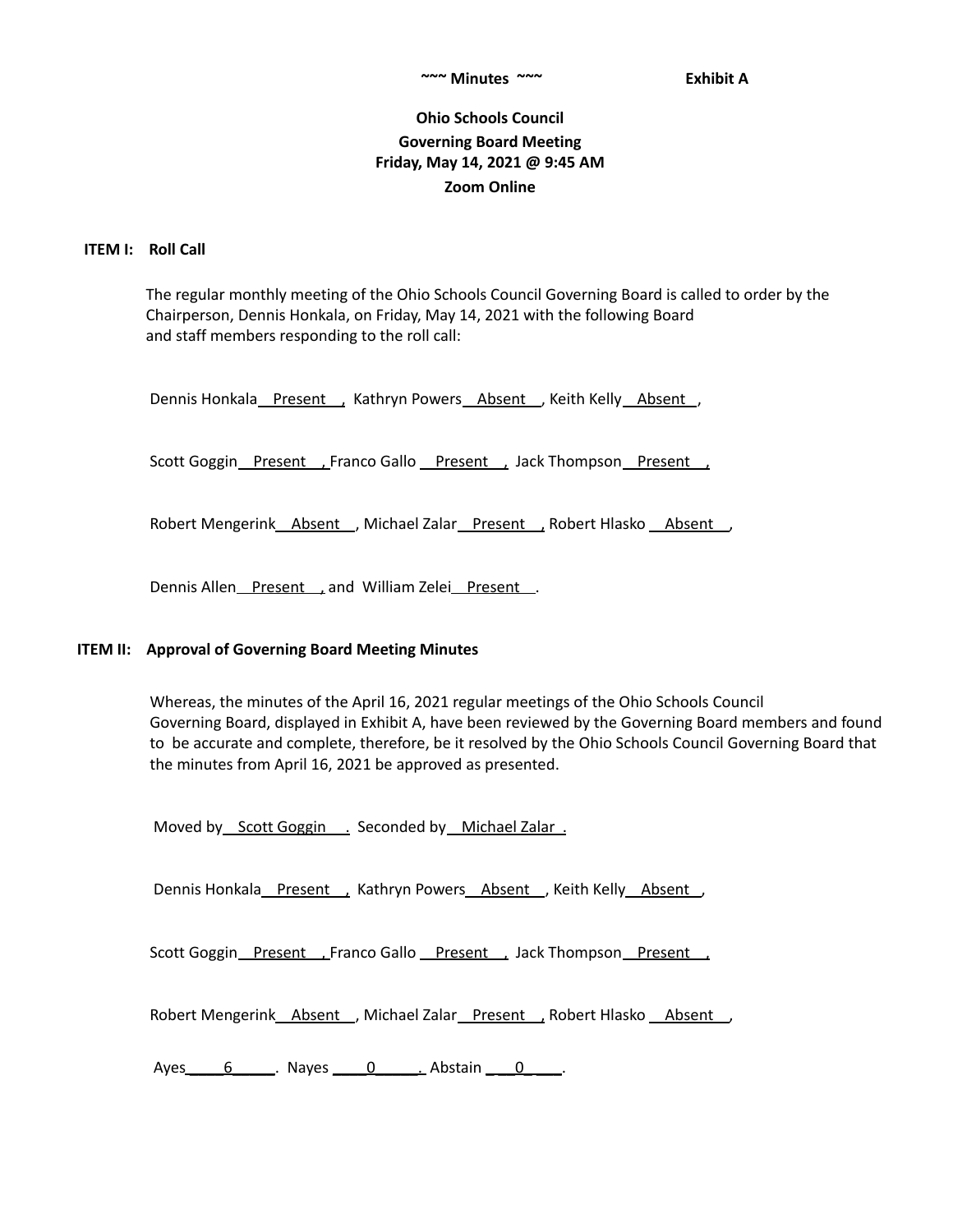# **Ohio Schools Council Governing Board Meeting Friday, May 14, 2021 @ 9:45 AM Zoom Online**

### **ITEM I: Roll Call**

The regular monthly meeting of the Ohio Schools Council Governing Board is called to order by the Chairperson, Dennis Honkala, on Friday, May 14, 2021 with the following Board and staff members responding to the roll call:

Dennis Honkala Present , Kathryn Powers Absent , Keith Kelly Absent ,

Scott Goggin Present , Franco Gallo Present , Jack Thompson Present ,

Robert Mengerink Absent , Michael Zalar Present , Robert Hlasko Absent ,

Dennis Allen Present, and William Zelei Present.

### **ITEM II: Approval of Governing Board Meeting Minutes**

Whereas, the minutes of the April 16, 2021 regular meetings of the Ohio Schools Council Governing Board, displayed in Exhibit A, have been reviewed by the Governing Board members and found to be accurate and complete, therefore, be it resolved by the Ohio Schools Council Governing Board that the minutes from April 16, 2021 be approved as presented.

Moved by Scott Goggin . Seconded by Michael Zalar .

Dennis Honkala Present , Kathryn Powers Absent , Keith Kelly Absent ,

Scott Goggin\_Present \_\_ Franco Gallo \_Present \_\_ Jack Thompson \_Present \_\_

Robert Mengerink Absent , Michael Zalar Present , Robert Hlasko Absent

Ayes 6 \_\_\_\_. Nayes 0 \_\_\_\_\_\_\_\_\_\_\_\_\_ Abstain \_\_\_\_\_0\_\_\_\_\_.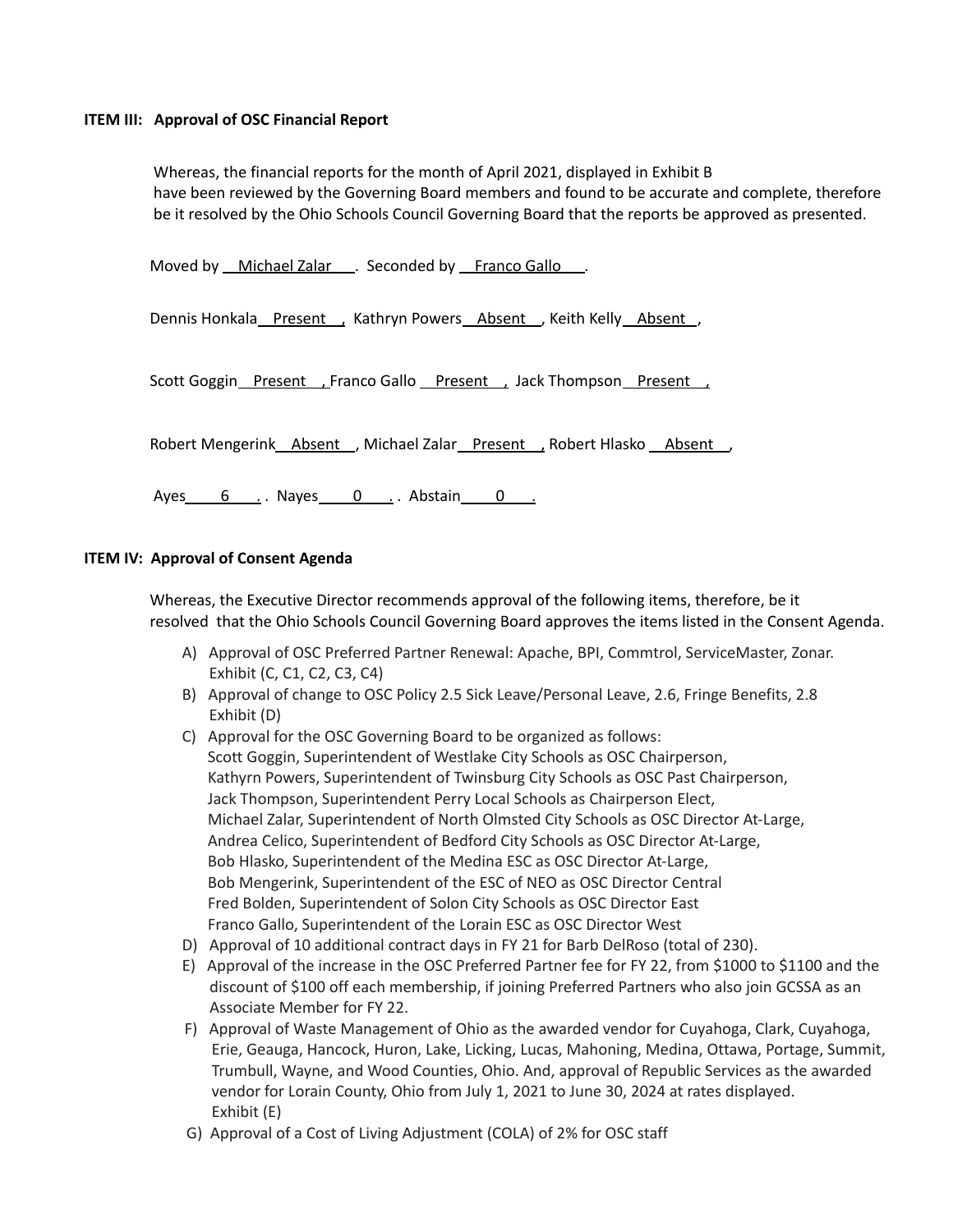## **ITEM III: Approval of OSC Financial Report**

Whereas, the financial reports for the month of April 2021, displayed in Exhibit B have been reviewed by the Governing Board members and found to be accurate and complete, therefore be it resolved by the Ohio Schools Council Governing Board that the reports be approved as presented.

Moved by Michael Zalar . Seconded by Franco Gallo ...

Dennis Honkala Present , Kathryn Powers Absent , Keith Kelly Absent ,

Scott Goggin Present , Franco Gallo Present , Jack Thompson Present .

Robert Mengerink Absent , Michael Zalar Present , Robert Hlasko Absent

Ayes 6 . Nayes 0 . Abstain 0 .

## **ITEM IV: Approval of Consent Agenda**

Whereas, the Executive Director recommends approval of the following items, therefore, be it resolved that the Ohio Schools Council Governing Board approves the items listed in the Consent Agenda.

- A) Approval of OSC Preferred Partner Renewal: Apache, BPI, Commtrol, ServiceMaster, Zonar. Exhibit (C, C1, C2, C3, C4)
- B) Approval of change to OSC Policy 2.5 Sick Leave/Personal Leave, 2.6, Fringe Benefits, 2.8 Exhibit (D)
- C) Approval for the OSC Governing Board to be organized as follows: Scott Goggin, Superintendent of Westlake City Schools as OSC Chairperson, Kathyrn Powers, Superintendent of Twinsburg City Schools as OSC Past Chairperson, Jack Thompson, Superintendent Perry Local Schools as Chairperson Elect, Michael Zalar, Superintendent of North Olmsted City Schools as OSC Director At-Large, Andrea Celico, Superintendent of Bedford City Schools as OSC Director At-Large, Bob Hlasko, Superintendent of the Medina ESC as OSC Director At-Large, Bob Mengerink, Superintendent of the ESC of NEO as OSC Director Central Fred Bolden, Superintendent of Solon City Schools as OSC Director East Franco Gallo, Superintendent of the Lorain ESC as OSC Director West
- D) Approval of 10 additional contract days in FY 21 for Barb DelRoso (total of 230).
- E) Approval of the increase in the OSC Preferred Partner fee for FY 22, from \$1000 to \$1100 and the discount of \$100 off each membership, if joining Preferred Partners who also join GCSSA as an Associate Member for FY 22.
- F) Approval of Waste Management of Ohio as the awarded vendor for Cuyahoga, Clark, Cuyahoga, Erie, Geauga, Hancock, Huron, Lake, Licking, Lucas, Mahoning, Medina, Ottawa, Portage, Summit, Trumbull, Wayne, and Wood Counties, Ohio. And, approval of Republic Services as the awarded vendor for Lorain County, Ohio from July 1, 2021 to June 30, 2024 at rates displayed. Exhibit (E)
- G) Approval of a Cost of Living Adjustment (COLA) of 2% for OSC staff